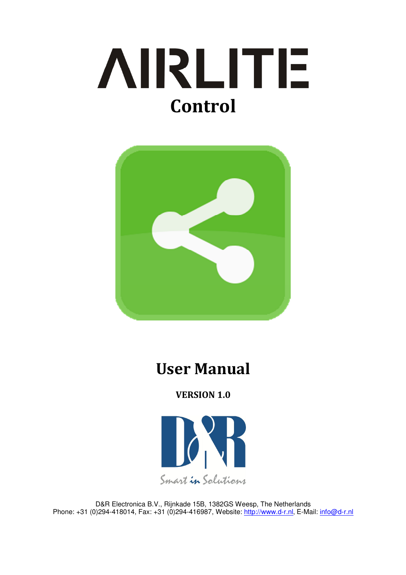



# User Manual

VERSION 1.0



D&R Electronica B.V., Rijnkade 15B, 1382GS Weesp, The Netherlands Phone: +31 (0)294-418014, Fax: +31 (0)294-416987, Website: http://www.d-r.nl, E-Mail: info@d-r.nl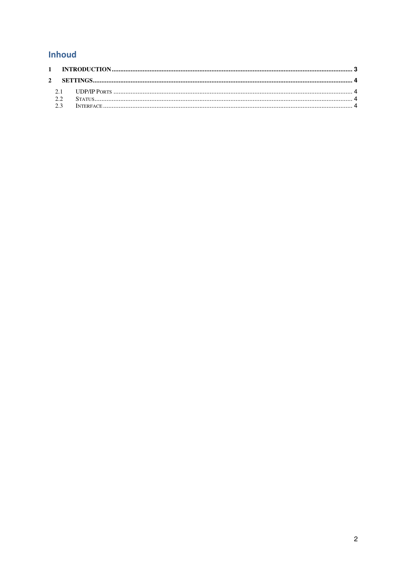## Inhoud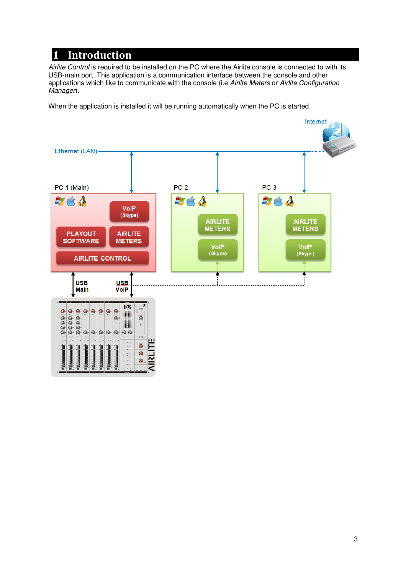# **1** Introduction

Airlite Control is required to be installed on the PC where the Airlite console is connected to with its USB-main port. This application is a communication interface between the console and other applications which like to communicate with the console (i.e Airlite Meters or Airlite Configuration Manager).

When the application is installed it will be running automatically when the PC is started.